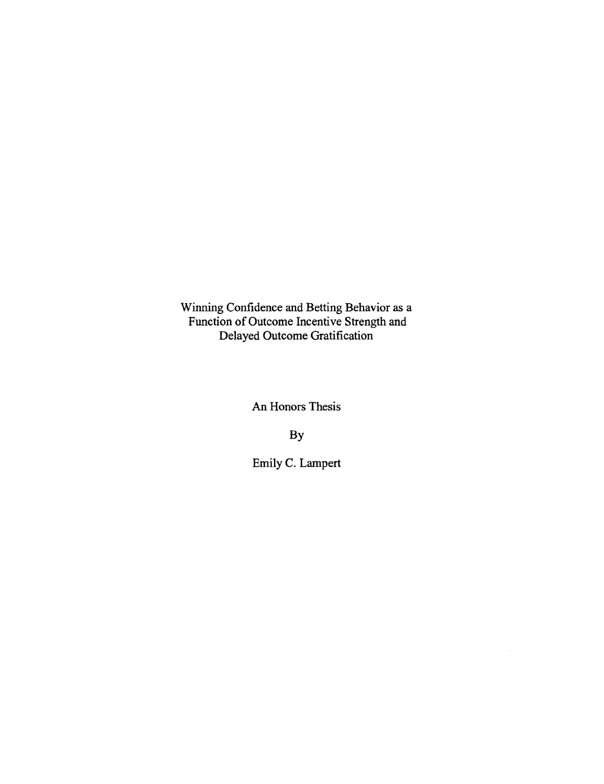Winning Confidence and Betting Behavior as a Function of Outcome Incentive Strength and Delayed Outcome Gratification

An Honors Thesis

By

Emily C. Lampert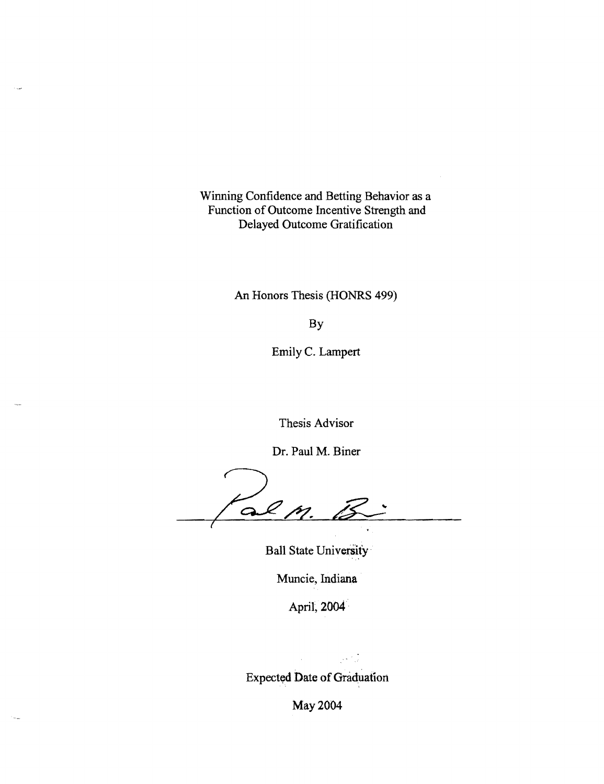Winning Confidence and Betting Behavior as a Function of Outcome Incentive Strength and Delayed Outcome Gratification

An Honors Thesis (HONRS 499)

By

Emily C. Lampert

Thesis Advisor

Dr. Paul M. Biner

al m. (

Ball State University

Muncie, Indiana

April, 2004

Expected Date of Graduation

May 2004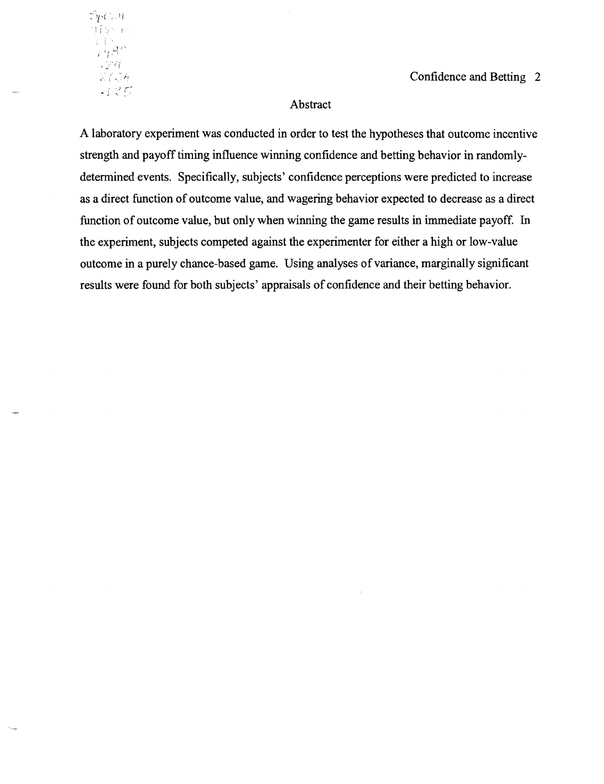$\Im p$ Call 1 *i*  -24  $\mathbb{K} \mathbb{C} \mathbb{O} \mathbb{A}$ ,J *r--* . ,

Confidence and Betting 2

# Abstract

A laboratory experiment was conducted in order to test the hypotheses that outcome incentive strength and payoff timing influence winning confidence and betting behavior in randomlydetermined events. Specifically, subjects' confidence perceptions were predicted to increase as a direct function of outcome value, and wagering behavior expected to decrease as a direct function of outcome value, but only when winning the game results in immediate payoff. In the experiment, subjects competed against the experimenter for either a high or low-value outcome in a purely chance-based game. Using analyses of variance, marginally significant results were found for both subjects' appraisals of confidence and their betting behavior.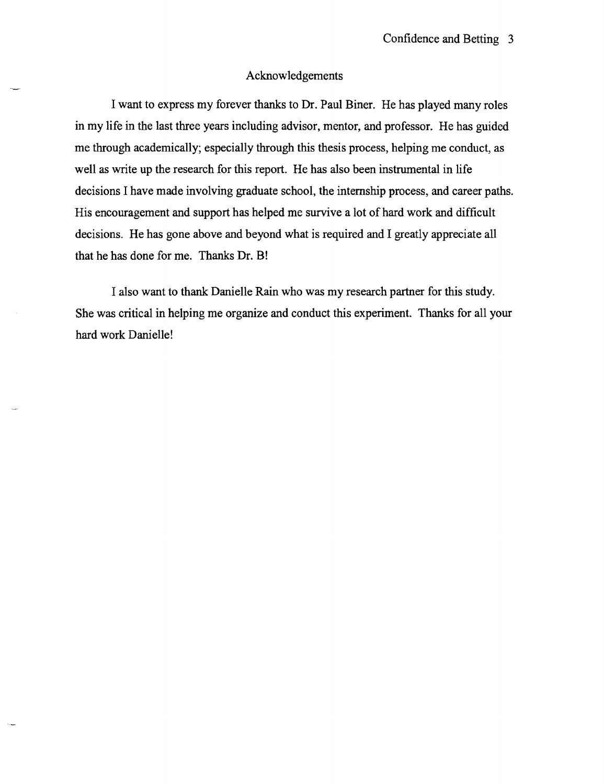### Acknowledgements

I want to express my forever thanks to Dr. Paul Biner. He has played many roles in my life in the last three years including advisor, mentor, and professor. He has guided me through academically; especially through this thesis process, helping me conduct, as well as write up the research for this report. He has also been instrumental in life decisions I have made involving graduate school, the internship process, and career paths. His encouragement and support has helped me survive a lot of hard work and difficult decisions. He has gone above and beyond what is required and I greatly appreciate all that he has done for me. Thanks Dr. B!

I also want to thank Danielle Rain who was my research partner for this study. She was critical in helping me organize and conduct this experiment. Thanks for all your hard work Danielle!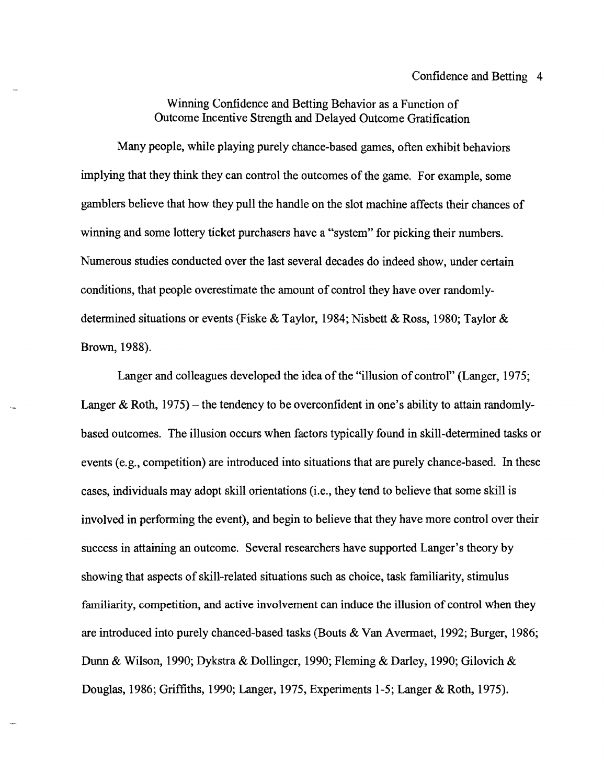# Winning Confidence and Betting Behavior as a Function of Outcome Incentive Strength and Delayed Outcome Gratification

Many people, while playing purely chance-based games, often exhibit behaviors implying that they think they can control the outcomes of the game. For example, some gamblers believe that how they pull the handle on the slot machine affects their chances of winning and some lottery ticket purchasers have a "system" for picking their numbers. Numerous studies conducted over the last several decades do indeed show, under certain conditions, that people overestimate the amount of control they have over randomlydetermined situations or events (Fiske & Taylor, 1984; Nisbett & Ross, 1980; Taylor & Brown, 1988).

Langer and colleagues developed the idea of the "illusion of control" (Langer, 1975; Langer & Roth,  $1975$ ) – the tendency to be overconfident in one's ability to attain randomlybased outcomes. The illusion occurs when factors typically found in skill-determined tasks or events (e.g., competition) are introduced into situations that are purely chance-based. In these cases, individuals may adopt skill orientations (i.e., they tend to believe that some skill is involved in performing the event), and begin to believe that they have more control over their success in attaining an outcome. Several researchers have supported Langer's theory by showing that aspects of skill-related situations such as choice, task familiarity, stimulus familiarity, competition, and active involvement can induce the illusion of control when they are introduced into purely chanced-based tasks (Bouts & Van Avermaet, 1992; Burger, 1986; Dunn & Wilson, 1990; Dykstra & Dollinger, 1990; Fleming & Darley, 1990; Gilovich & Douglas, 1986; Griffiths, 1990; Langer, 1975, Experiments 1-5; Langer & Roth, 1975).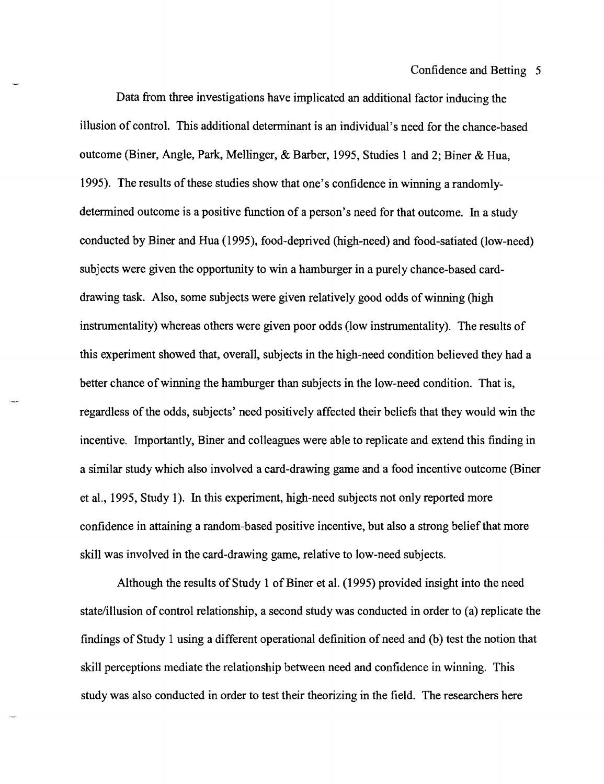Data from three investigations have implicated an additional factor inducing the illusion of control. This additional determinant is an individual's need for the chance-based outcome (Biner, Angle, Park, Mellinger, & Barber, 1995, Studies 1 and 2; Biner & Hua, 1995). The results of these studies show that one's confidence in winning a randomlydetermined outcome is a positive function of a person's need for that outcome. In a study conducted by Biner and Hua (1995), food-deprived (high-need) and food-satiated (low-need) subjects were given the opportunity to win a hamburger in a purely chance-based carddrawing task. Also, some subjects were given relatively good odds of winning (high instrumentality) whereas others were given poor odds (low instrumentality). The results of this experiment showed that, overall, subjects in the high-need condition believed they had a better chance of winning the hamburger than subjects in the low-need condition. That is, regardless of the odds, subjects' need positively affected their beliefs that they would win the incentive. Importantly, Biner and colleagues were able to replicate and extend this finding in a similar study which also involved a card-drawing game and a food incentive outcome (Biner et aI., 1995, Study 1). In this experiment, high-need subjects not only reported more confidence in attaining a random-based positive incentive, but also a strong belief that more skill was involved in the card-drawing game, relative to low-need subjects.

Although the results of Study 1 of Biner et al. (1995) provided insight into the need state/illusion of control relationship, a second study was conducted in order to (a) replicate the findings of Study 1 using a different operational definition of need and (b) test the notion that skill perceptions mediate the relationship between need and confidence in winning. This study was also conducted in order to test their theorizing in the field. The researchers here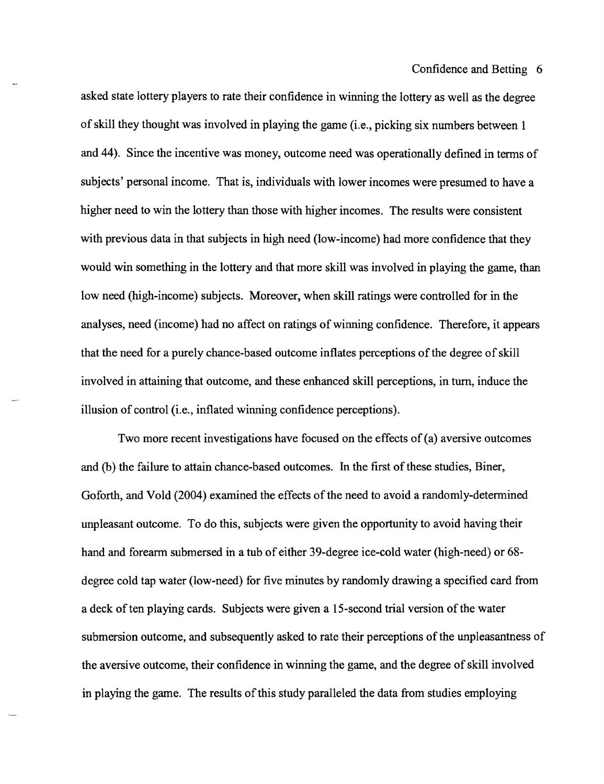asked state lottery players to rate their confidence in winning the lottery as well as the degree of skill they thought was involved in playing the game (i.e., picking six numbers between I and 44). Since the incentive was money, outcome need was operationally defined in terms of subjects' personal income. That is, individuals with lower incomes were presumed to have a higher need to win the lottery than those with higher incomes. The results were consistent with previous data in that subjects in high need (low-income) had more confidence that they would win something in the lottery and that more skill was involved in playing the game, than low need (high-income) subjects. Moreover, when skill ratings were controlled for in the analyses, need (income) had no affect on ratings of winning confidence. Therefore, it appears that the need for a purely chance-based outcome inflates perceptions ofthe degree of skill involved in attaining that outcome, and these enhanced skill perceptions, in turn, induce the illusion of control (i.e., inflated winning confidence perceptions).

Two more recent investigations have focused on the effects of (a) aversive outcomes and (b) the failure to attain chance-based outcomes. In the first of these studies, Biner, Goforth, and VoId (2004) examined the effects of the need to avoid a randomly-determined unpleasant outcome. To do this, subjects were given the opportunity to avoid having their hand and forearm submersed in a tub of either 39-degree ice-cold water (high-need) or 68 degree cold tap water (low-need) for five minutes by randomly drawing a specified card from a deck often playing cards. Subjects were given a IS-second trial version ofthe water submersion outcome, and subsequently asked to rate their perceptions of the unpleasantness of the aversive outcome, their confidence in winning the game, and the degree of skill involved in playing the game. The results of this study paralleled the data from studies employing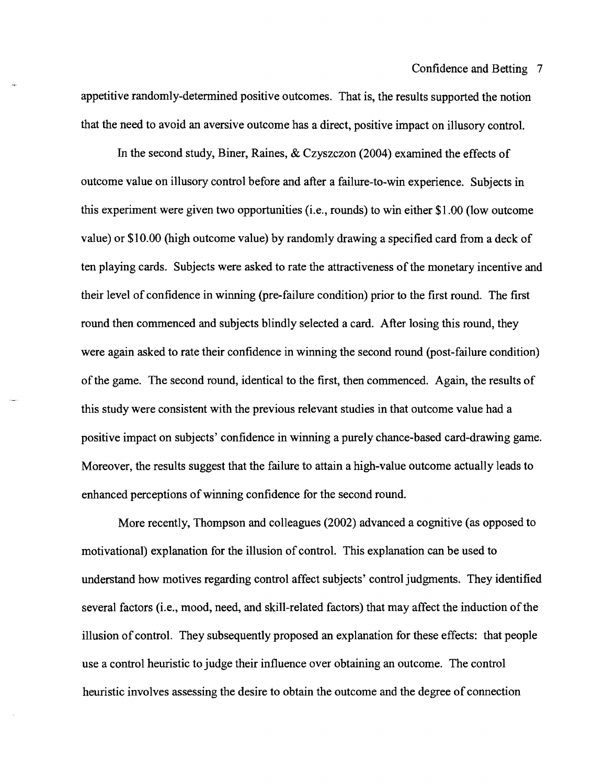appetitive randomly-determined positive outcomes. That is, the results supported the notion that the need to avoid an aversive outcome has a direct, positive impact on illusory control.

In the second study, Biner, Raines, & Czyszczon (2004) examined the effects of outcome value on illusory control before and after a failure-to-win experience. Subjects in this experiment were given two opportunities (i.e., rounds) to win either \$1.00 (low outcome value) or \$10.00 (high outcome value) by randomly drawing a specified card from a deck of ten playing cards. Subjects were asked to rate the attractiveness of the monetary incentive and their level of confidence in winning (pre-failure condition) prior to the first round. The first round then commenced and subjects blindly selected a card. After losing this round, they were again asked to rate their confidence in winning the second round (post-failure condition) of the game. The second round, identical to the first, then commenced. Again, the results of this study were consistent with the previous relevant studies in that outcome value had a positive impact on subjects' confidence in winning a purely chance-based card-drawing game. Moreover, the results suggest that the failure to attain a high-value outcome actually leads to enhanced perceptions of winning confidence for the second round.

More recently, Thompson and colleagues (2002) advanced a cognitive (as opposed to motivational) explanation for the illusion of control. This explanation can be used to understand how motives regarding control affect subjects' control judgments. They identified several factors (i.e., mood, need, and skill-related factors) that may affect the induction of the illusion of control. They subsequently proposed an explanation for these effects: that people use a control heuristic to judge their influence over obtaining an outcome. The control heuristic involves assessing the desire to obtain the outcome and the degree of connection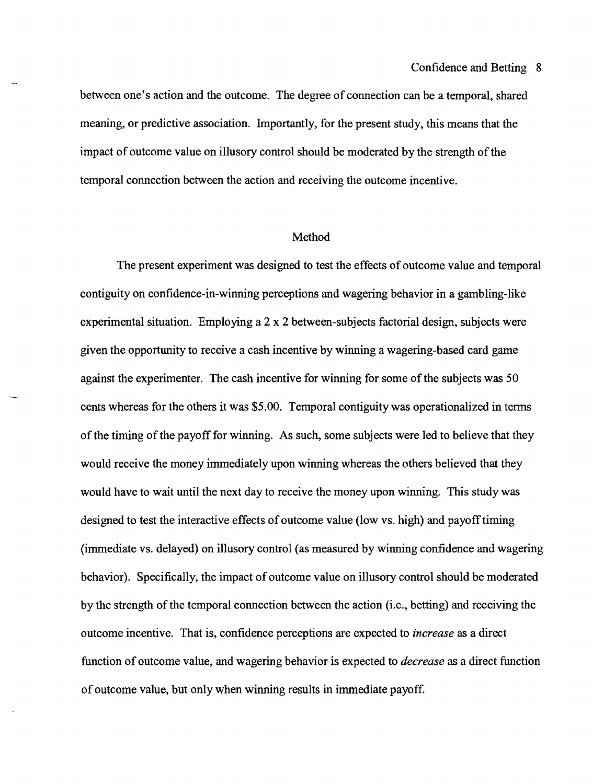between one's action and the outcome. The degree of connection can be a temporal, shared meaning, or predictive association. Importantly, for the present study, this means that the impact of outcome value on illusory control should be moderated by the strength of the temporal connection between the action and receiving the outcome incentive.

#### Method

The present experiment was designed to test the effects of outcome value and temporal contiguity on confidence-in-winning perceptions and wagering behavior in a gambling-like experimental situation. Employing a 2 x 2 between-subjects factorial design, subjects were given the opportunity to receive a cash incentive by winning a wagering-based card game against the experimenter. The cash incentive for winning for some of the subjects was 50 cents whereas for the others it was \$5.00. Temporal contiguity was operationalized in terms of the timing of the payoff for winning. As such, some subjects were led to believe that they would receive the money immediately upon winning whereas the others believed that they would have to wait until the next day to receive the money upon winning. This study was designed to test the interactive effects of outcome value (low vs. high) and payoff timing (immediate vs. delayed) on illusory control (as measured by winning confidence and wagering behavior). Specifically, the impact of outcome value on illusory control should be moderated by the strength of the temporal connection between the action (i.e., betting) and receiving the outcome incentive. That is, confidence perceptions are expected to *increase* as a direct function of outcome value, and wagering behavior is expected to *decrease* as a direct function of outcome value, but only when winning results in immediate payoff.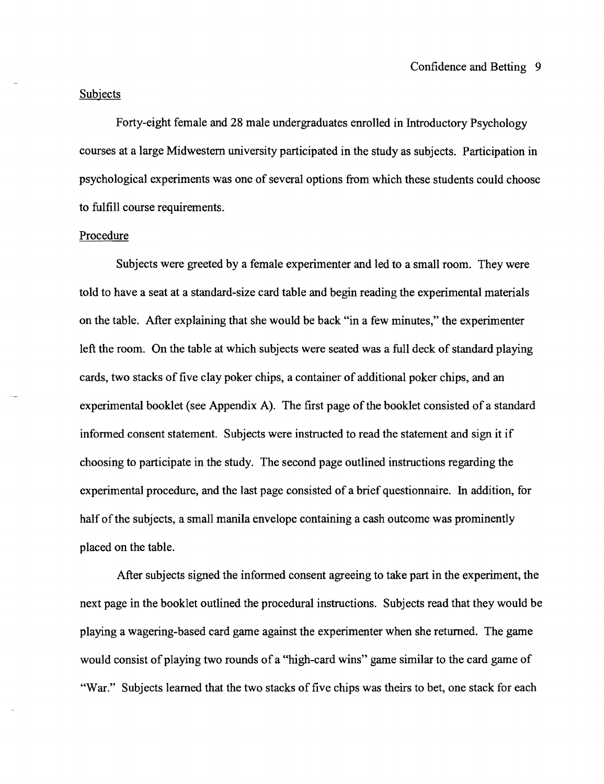#### Subjects

Forty-eight female and 28 male undergraduates enrolled in Introductory Psychology courses at a large Midwestern university participated in the study as subjects. Participation in psychological experiments was one of several options from which these students could choose to fulfill course requirements.

#### Procedure

Subjects were greeted by a female experimenter and led to a small room. They were told to have a seat at a standard-size card table and begin reading the experimental materials on the table. After explaining that she would be back "in a few minutes," the experimenter left the room. On the table at which subjects were seated was a full deck of standard playing cards, two stacks of five clay poker chips, a container of additional poker chips, and an experimental booklet (see Appendix A). The first page of the booklet consisted of a standard informed consent statement. Subjects were instructed to read the statement and sign it if choosing to participate in the study. The second page outlined instructions regarding the experimental procedure, and the last page consisted of a brief questionnaire. In addition, for half of the subjects, a small manila envelope containing a cash outcome was prominently placed on the table.

After subjects signed the informed consent agreeing to take part in the experiment, the next page in the booklet outlined the procedural instructions. Subjects read that they would be playing a wagering-based card game against the experimenter when she returned. The game would consist of playing two rounds of a "high-card wins" game similar to the card game of "War." Subjects learned that the two stacks of five chips was theirs to bet, one stack for each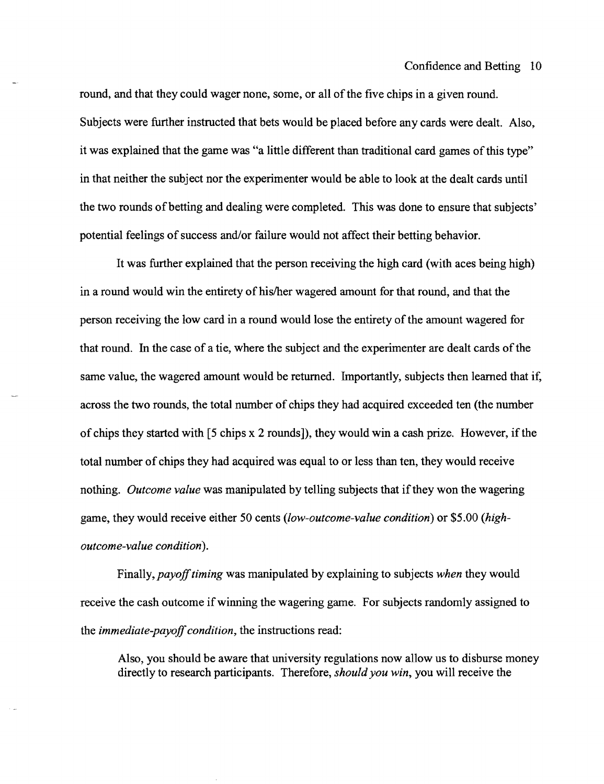round, and that they could wager none, some, or all of the five chips in a given round. Subjects were further instructed that bets would be placed before any cards were dealt. Also, it was explained that the game was "a little different than traditional card games of this type" in that neither the subject nor the experimenter would be able to look at the dealt cards until the two rounds of betting and dealing were completed. This was done to ensure that subjects' potential feelings of success and/or failure would not affect their betting behavior.

It was further explained that the person receiving the high card (with aces being high) in a round would win the entirety of his/her wagered amount for that round, and that the person receiving the low card in a round would lose the entirety of the amount wagered for that round. In the case of a tie, where the subject and the experimenter are dealt cards of the same value, the wagered amount would be returned. Importantly, subjects then learned that if, across the two rounds, the total number of chips they had acquired exceeded ten (the number of chips they started with [5 chips x 2 rounds]), they would win a cash prize. However, if the total number of chips they had acquired was equal to or less than ten, they would receive nothing. *Outcome value* was manipulated by telling subjects that if they won the wagering game, they would receive either 50 cents *(low-outcome-value condition)* or \$5.00 *(highoutcome-value condition).* 

Finally, *payoff timing* was manipulated by explaining to subjects *when* they would receive the cash outcome if winning the wagering game. For subjects randomly assigned to the *immediate-payoff condition,* the instructions read:

Also, you should be aware that university regulations now allow us to disburse money directly to research participants. Therefore, *should you win,* you will receive the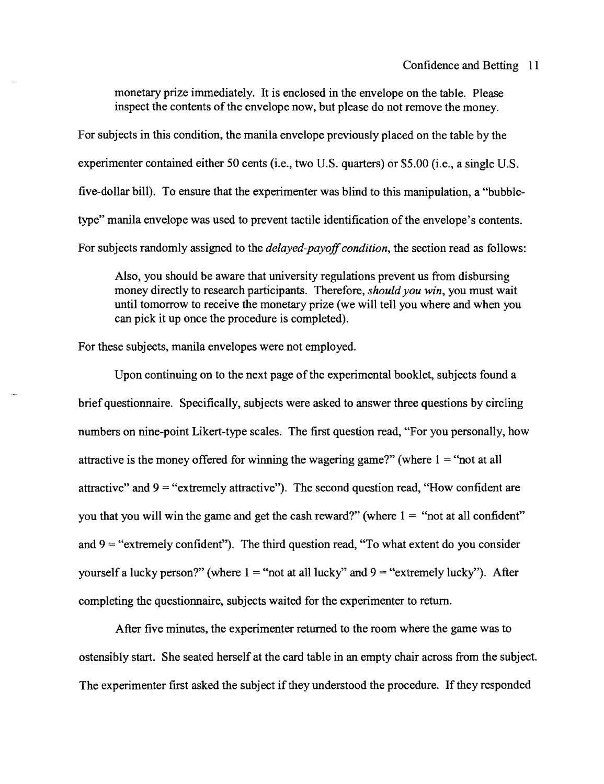monetary prize immediately. It is enclosed in the envelope on the table. Please inspect the contents of the envelope now, but please do not remove the money.

For subjects in this condition, the manila envelope previously placed on the table by the experimenter contained either 50 cents (i.e., two U.S. quarters) or \$5.00 (i.e., a single U.S. five-dollar bill). To ensure that the experimenter was blind to this manipulation, a "bubbletype" manila envelope was used to prevent tactile identification of the envelope's contents. For subjects randomly assigned to the *delayed-payoff condition,* the section read as follows:

Also, you should be aware that university regulations prevent us from disbursing money directly to research participants. Therefore, *should you win,* you must wait until tomorrow to receive the monetary prize (we will tell you where and when you can pick it up once the procedure is completed).

For these subjects, manila envelopes were not employed.

Upon continuing on to the next page of the experimental booklet, subjects found a brief questionnaire. Specifically, subjects were asked to answer three questions by circling numbers on nine-point Likert-type scales. The first question read, "For you personally, how attractive is the money offered for winning the wagering game?" (where  $1 =$  "not at all attractive" and  $9 =$  "extremely attractive"). The second question read, "How confident are you that you will win the game and get the cash reward?" (where  $1 =$  "not at all confident" and  $9$  = "extremely confident"). The third question read, "To what extent do you consider yourself a lucky person?" (where  $1 =$  "not at all lucky" and  $9 =$  "extremely lucky"). After completing the questionnaire, subjects waited for the experimenter to return.

After five minutes, the experimenter returned to the room where the game was to ostensibly start. She seated herself at the card table in an empty chair across from the subject. The experimenter first asked the subject if they understood the procedure. If they responded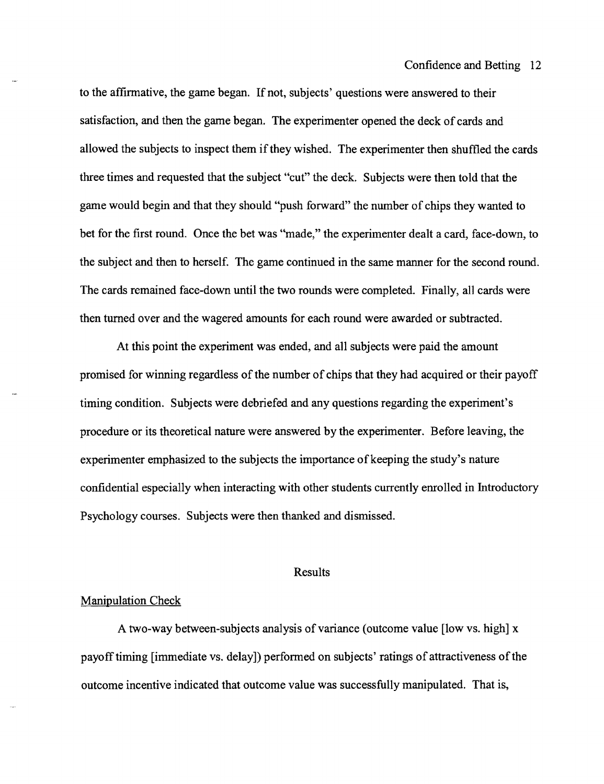to the affirmative, the game began. If not, subjects' questions were answered to their satisfaction, and then the game began. The experimenter opened the deck of cards and allowed the subjects to inspect them if they wished. The experimenter then shuffled the cards three times and requested that the subject "cut" the deck. Subjects were then told that the game would begin and that they should "push forward" the number of chips they wanted to bet for the first round. Once the bet was "made," the experimenter dealt a card, face-down, to the subject and then to herself. The game continued in the same manner for the second round. The cards remained face-down until the two rounds were completed. Finally, all cards were then turned over and the wagered amounts for each round were awarded or subtracted.

At this point the experiment was ended, and all subjects were paid the amount promised for winning regardless of the number of chips that they had acquired or their payoff timing condition. Subjects were debriefed and any questions regarding the experiment's procedure or its theoretical nature were answered by the experimenter. Before leaving, the experimenter emphasized to the subjects the importance of keeping the study's nature confidential especially when interacting with other students currently enrolled in Introductory Psychology courses. Subjects were then thanked and dismissed.

#### Results

#### Manipulation Check

A two-way between-subjects analysis of variance (outcome value [low vs. high] x payoff timing [immediate vs. delay]) performed on subjects' ratings of attractiveness of the outcome incentive indicated that outcome value was successfully manipulated. That is,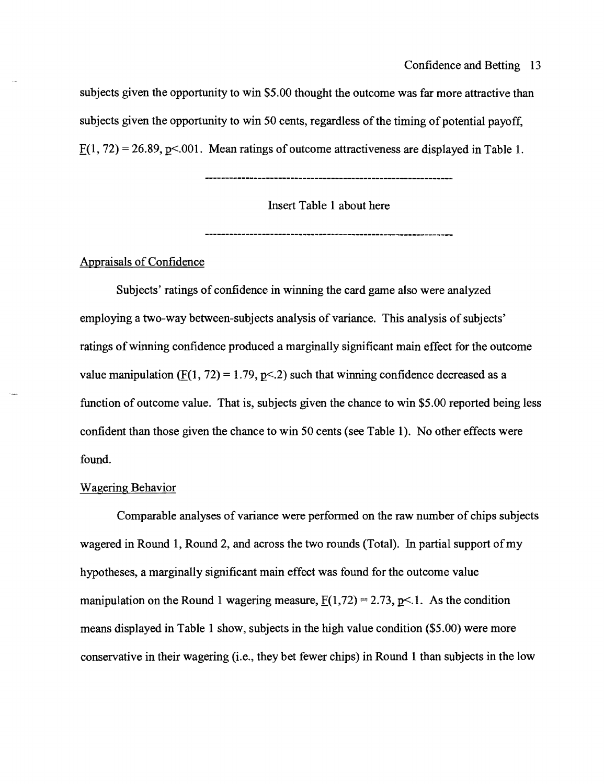subjects given the opportunity to win \$5.00 thought the outcome was far more attractive than subjects given the opportunity to win 50 cents, regardless of the timing of potential payoff,  $F(1, 72) = 26.89$ , p<.001. Mean ratings of outcome attractiveness are displayed in Table 1.

Insert Table 1 about here

### Appraisals of Confidence

Subjects' ratings of confidence in winning the card game also were analyzed employing a two-way between-subjects analysis of variance. This analysis of subjects' ratings of winning confidence produced a marginally significant main effect for the outcome value manipulation (F(1, 72) = 1.79, p< 2) such that winning confidence decreased as a function of outcome value. That is, subjects given the chance to win \$5.00 reported being less confident than those given the chance to win 50 cents (see Table 1). No other effects were found.

### Wagering Behavior

Comparable analyses of variance were performed on the raw number of chips subjects wagered in Round 1, Round 2, and across the two rounds (Total). In partial support of my hypotheses, a marginally significant main effect was found for the outcome value manipulation on the Round 1 wagering measure,  $F(1,72) = 2.73$ , p<1. As the condition means displayed in Table 1 show, subjects in the high value condition (\$5.00) were more conservative in their wagering (i.e., they bet fewer chips) in Round 1 than subjects in the low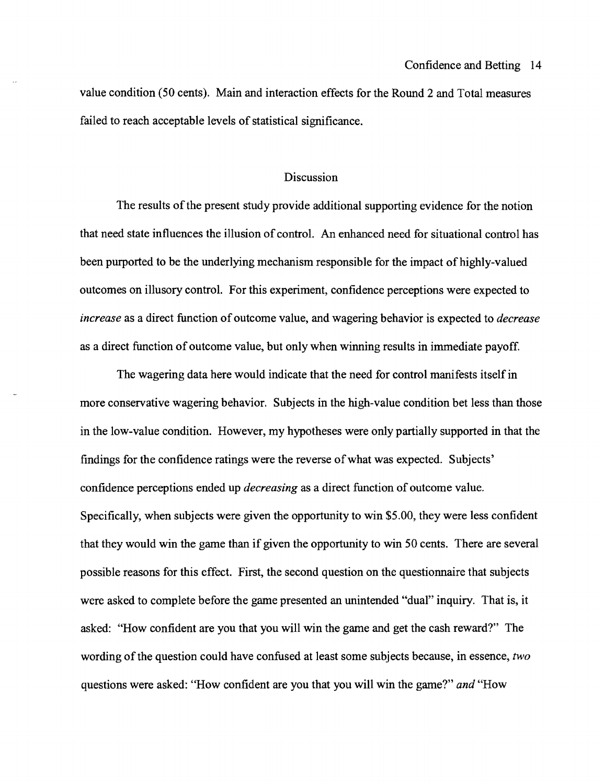value condition (50 cents). Main and interaction effects for the Round 2 and Total measures failed to reach acceptable levels of statistical significance.

### Discussion

The results of the present study provide additional supporting evidence for the notion that need state influences the illusion of control. An enhanced need for situational control has been purported to be the underlying mechanism responsible for the impact of highly-valued outcomes on illusory control. For this experiment, confidence perceptions were expected to *increase* as a direct function of outcome value, and wagering behavior is expected to *decrease*  as a direct function of outcome value, but only when winning results in immediate payoff.

The wagering data here would indicate that the need for control manifests itself in more conservative wagering behavior. Subjects in the high-value condition bet less than those in the low-value condition. However, my hypotheses were only partially supported in that the findings for the confidence ratings were the reverse of what was expected. Subjects' confidence perceptions ended up *decreasing* as a direct function of outcome value. Specifically, when subjects were given the opportunity to win \$5.00, they were less confident that they would win the game than if given the opportunity to win 50 cents. There are several possible reasons for this effect. First, the second question on the questionnaire that subjects were asked to complete before the game presented an unintended "dual" inquiry. That is, it asked: "How confident are you that you will win the game and get the cash reward?" The wording of the question could have confused at least some subjects because, in essence, *two*  questions were asked: "How confident are you that you will win the game?" and "How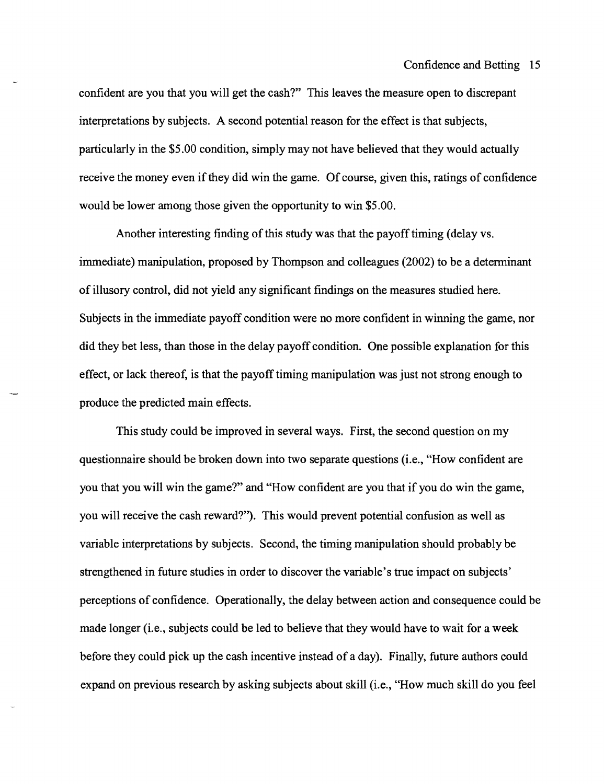confident are you that you will get the cash?" This leaves the measure open to discrepant interpretations by subjects. A second potential reason for the effect is that subjects, particularly in the \$5.00 condition, simply may not have believed that they would actually receive the money even if they did win the game. Of course, given this, ratings of confidence would be lower among those given the opportunity to win \$5.00.

Another interesting finding of this study was that the payoff timing (delay vs. immediate) manipUlation, proposed by Thompson and colleagues (2002) to be a determinant of illusory control, did not yield any significant findings on the measures studied here. Subjects in the immediate payoff condition were no more confident in winning the game, nor did they bet less, than those in the delay payoff condition. One possible explanation for this effect, or lack thereof, is that the payoff timing manipulation was just not strong enough to produce the predicted main effects.

This study could be improved in several ways. First, the second question on my questionnaire should be broken down into two separate questions (i.e., "How confident are you that you will win the game?" and "How confident are you that if you do win the game, you will receive the cash reward?"). This would prevent potential confusion as well as variable interpretations by subjects. Second, the timing manipulation should probably be strengthened in future studies in order to discover the variable's true impact on subjects' perceptions of confidence. Operationally, the delay between action and consequence could be made longer (i.e., subjects could be led to believe that they would have to wait for a week before they could pick up the cash incentive instead of a day). Finally, future authors could expand on previous research by asking subjects about skill (i.e., "How much skill do you feel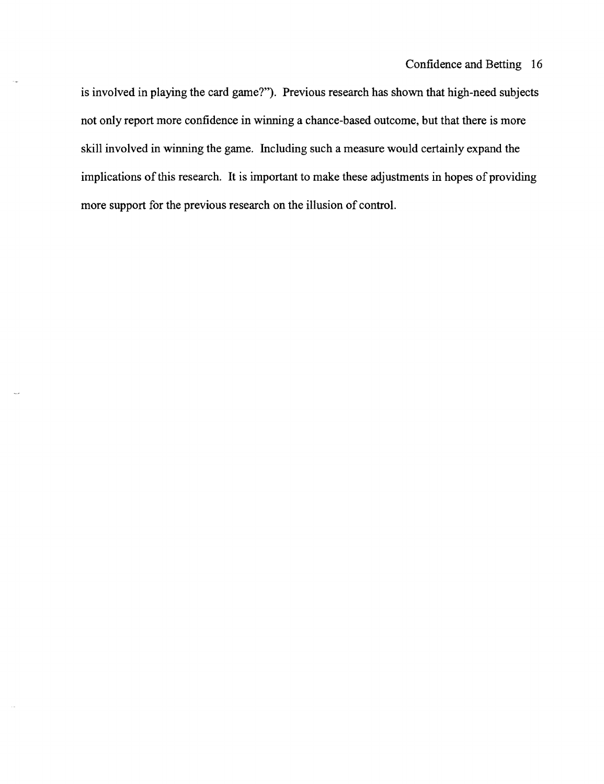is involved in playing the card game?"). Previous research has shown that high-need subjects not only report more confidence in winning a chance-based outcome, but that there is more skill involved in winning the game. Including such a measure would certainly expand the implications of this research. It is important to make these adjustments in hopes of providing more support for the previous research on the illusion of control.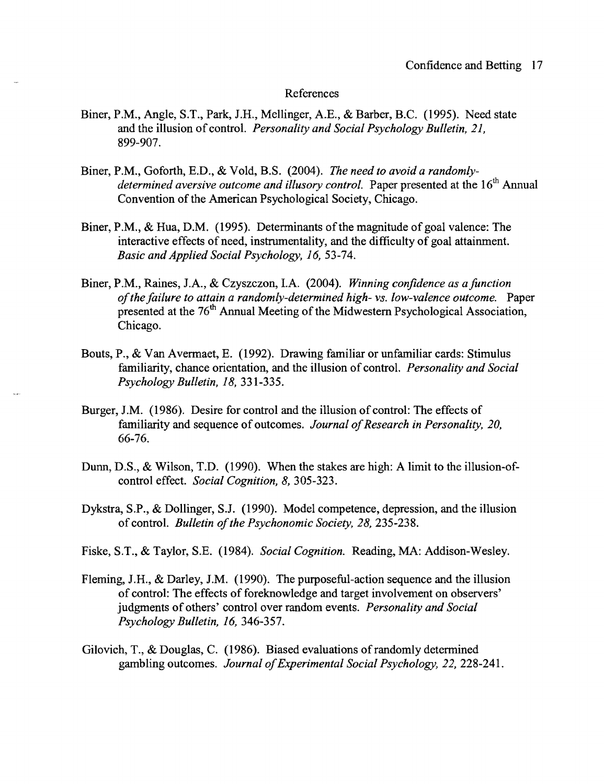#### References

- Biner, P.M., Angle, S.T., Park, I.H., Mellinger, A.E., & Barber, B.C. (1995). Need state and the illusion of control. *Personality and Social Psychology Bulletin, 21,* 899-907.
- Biner, P.M., Goforth, B.D., & VoId, B.S. (2004). *The need to avoid a randomlydetermined aversive outcome and illusory control.* Paper presented at the 16<sup>th</sup> Annual Convention of the American Psychological Society, Chicago.
- Biner, P.M., & Hua, D.M. (1995). Determinants of the magnitude of goal valence: The interactive effects of need, instrumentality, and the difficulty of goal attainment. *Basic and Applied Social Psychology,* 16, 53-74.
- Biner, P.M., Raines, J.A., & Czyszczon, I.A. (2004). *Winning confidence as a function of the failure to attain a randomly-determined high- vs. low-valence outcome.* Paper presented at the 76<sup>th</sup> Annual Meeting of the Midwestern Psychological Association, Chicago.
- Bouts, P., & Van Avermaet, E. (1992). Drawing familiar or unfamiliar cards: Stimulus familiarity, chance orientation, and the illusion of control. *Personality and Social Psychology Bulletin,* 18, 331-335.
- Burger,I.M. (1986). Desire for control and the illusion of control: The effects of familiarity and sequence of outcomes. *Journal of Research in Personality, 20,*  66-76.
- Dunn, D.S., & Wilson, T.D. (1990). When the stakes are high: A limit to the illusion-ofcontrol effect. *Social Cognition,* 8, 305-323.
- Dykstra, S.P., & Dollinger, SJ. (1990). Model competence, depression, and the illusion of control. *Bulletin of the Psychonomic Society,* 28, 235-238.
- Fiske, S.T., & Taylor, S.B. (1984). *Social Cognition.* Reading, MA: Addison-Wesley.
- Fleming, I.H., & Darley, I.M. (1990). The purposeful-action sequence and the illusion of control: The effects of foreknowledge and target involvement on observers' judgments of others' control over random events. *Personality and Social Psychology Bulletin,* 16, 346-357.
- Gilovich, T., & Douglas, C. (1986). Biased evaluations of randomly determined gambling outcomes. *Journal of Experimental Social Psychology,* 22, 228-241.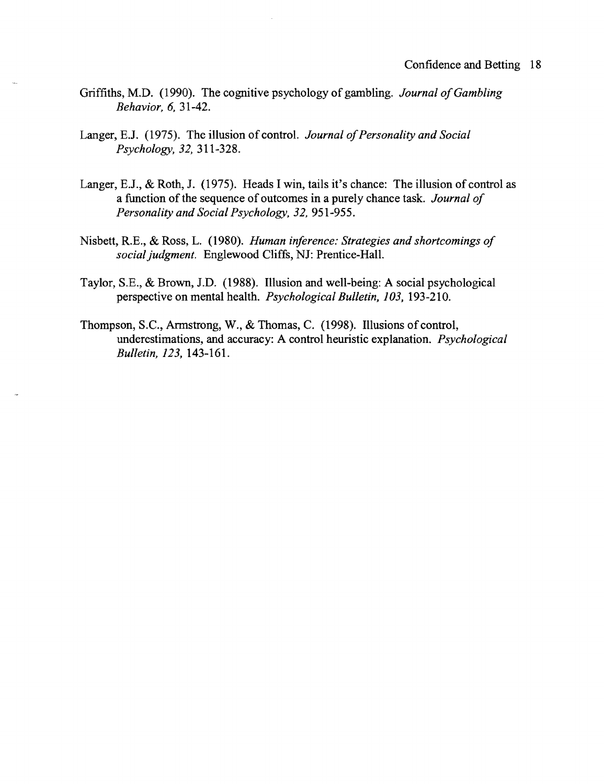- Griffiths, M.D. (1990). The cognitive psychology of gambling. *Journal of Gambling Behavior,* 6, 31-42.
- Langer, EJ. (1975). The illusion of control. *Journal of Personality and Social Psychology,* 32, 311-328.
- Langer, E.J., & Roth, J. (1975). Heads I win, tails it's chance: The illusion of control as a function of the sequence of outcomes in a purely chance task. *Journal of Personality and Social Psychology,* 32, 951-955.
- Nisbett, R.E., & Ross, L. (1980). *Human inference: Strategies and shortcomings of social judgment.* Englewood Cliffs, NJ: Prentice-Hall.
- Taylor, S.B., & Brown, J.D. (1988). Illusion and well-being: A social psychological perspective on mental health. *Psychological Bulletin, 103,* 193-210.
- Thompson, S.C., Armstrong, W., & Thomas, C. (1998). Illusions of control, underestimations, and accuracy: A control heuristic explanation. *Psychological Bulletin,* 123, 143-161.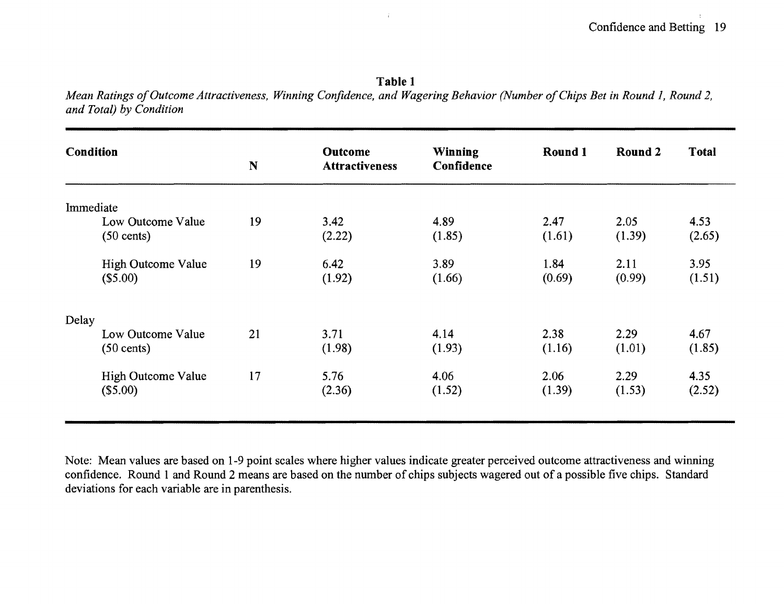# **Table 1**

 $\hat{t}$ 

*Mean Ratings of Outcome Attractiveness, Winning Confidence, and Wagering Behavior (Number of Chips Bet in Round 1, Round 2, and Total) by Condition* 

| Condition |                                           |                      |                                         |                              |                |                |                |  |
|-----------|-------------------------------------------|----------------------|-----------------------------------------|------------------------------|----------------|----------------|----------------|--|
|           |                                           | N                    | <b>Outcome</b><br><b>Attractiveness</b> | <b>Winning</b><br>Confidence | Round 1        | Round 2        | <b>Total</b>   |  |
| Immediate |                                           | 19<br>19<br>21<br>17 |                                         |                              |                |                |                |  |
|           | Low Outcome Value<br>$(50 \text{ cents})$ |                      | 3.42<br>(2.22)                          | 4.89<br>(1.85)               | 2.47<br>(1.61) | 2.05<br>(1.39) | 4.53<br>(2.65) |  |
|           | <b>High Outcome Value</b><br>(\$5.00)     |                      | 6.42<br>(1.92)                          | 3.89<br>(1.66)               | 1.84<br>(0.69) | 2.11<br>(0.99) | 3.95<br>(1.51) |  |
| Delay     |                                           |                      |                                         |                              |                |                |                |  |
|           | Low Outcome Value<br>$(50 \text{ cents})$ |                      | 3.71<br>(1.98)                          | 4.14<br>(1.93)               | 2.38<br>(1.16) | 2.29<br>(1.01) | 4.67<br>(1.85) |  |
|           | High Outcome Value<br>(\$5.00)            |                      | 5.76<br>(2.36)                          | 4.06<br>(1.52)               | 2.06<br>(1.39) | 2.29<br>(1.53) | 4.35<br>(2.52) |  |

Note: Mean values are based on 1-9 point scales where higher values indicate greater perceived outcome attractiveness and winning confidence. Round 1 and Round 2 means are based on the number of chips subjects wagered out of a possible five chips. Standard deviations for each variable are in parenthesis.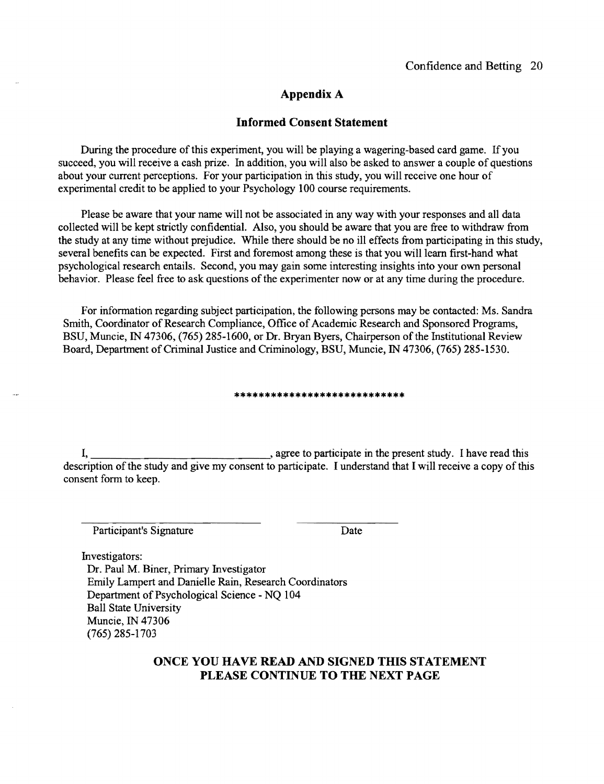### Appendix A

#### **Informed Consent Statement**

During the procedure of this experiment, you will be playing a wagering-based card game. If you succeed, you will receive a cash prize. In addition, you will also be asked to answer a couple of questions about your current perceptions. For your participation in this study, you will receive one hour of experimental credit to be applied to your Psychology 100 course requirements.

Please be aware that your name will not be associated in any way with your responses and all data collected will be kept strictly confidential. Also, you should be aware that you are free to withdraw from the study at any time without prejudice. While there should be no ill effects from participating in this study, several benefits can be expected. First and foremost among these is that you will learn first-hand what psychological research entails. Second, you may gain some interesting insights into your own personal behavior. Please feel free to ask questions of the experimenter now or at any time during the procedure.

For information regarding subject participation, the following persons may be contacted: Ms. Sandra Smith, Coordinator of Research Compliance, Office of Academic Research and Sponsored Programs, BSU, Muncie, IN 47306, (765) 285-1600, or Dr. Bryan Byers, Chairperson of the Institutional Review Board, Department of Criminal Justice and Criminology, BSU, Muncie, IN 47306, (765) 285-1530.

#### **\*\*\*\*\*\*\*\*\*\*\*\*\*\*\*\*\*\*\*\*\*\*\*\*\*\*\*\***

I, sagree to participate in the present study. I have read this description of the study and give my consent to participate. I understand that I will receive a copy of this consent form to keep.

Participant's Signature Date

Investigators:

Dr. Paul M. Biner, Primary Investigator Emily Lampert and Danielle Rain, Research Coordinators Department of Psychological Science - NQ 104 Ball State University Muncie, IN 47306 (765) 285-1703

### **ONCE YOU HAVE READ AND SIGNED THIS STATEMENT PLEASE CONTINUE TO THE NEXT PAGE**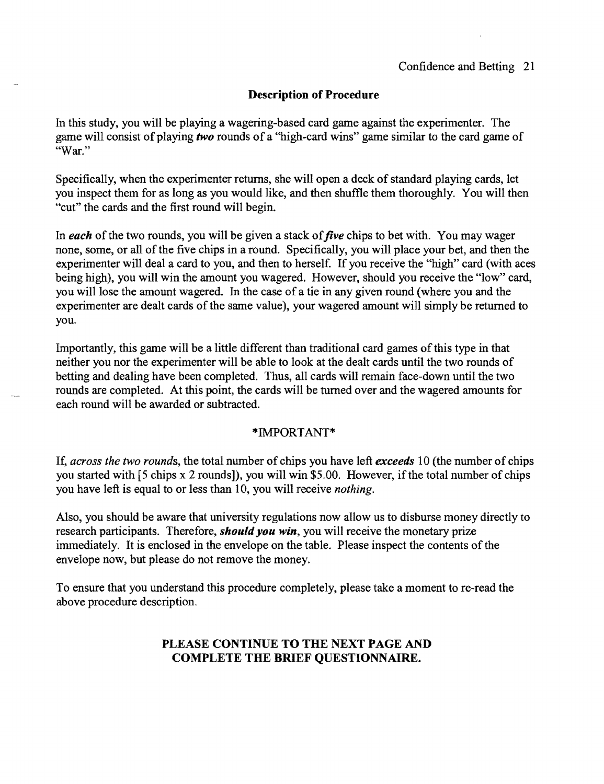In this study, you will be playing a wagering-based card game against the experimenter. The game will consist of playing *two* rounds of a "high-card wins" game similar to the card game of "War."

Specifically, when the experimenter returns, she will open a deck of standard playing cards, let you inspect them for as long as you would like, and then shuffle them thoroughly. You will then "cut" the cards and the first round will begin.

In *each* of the two rounds, you will be given a stack of *five* chips to bet with. You may wager none, some, or all of the five chips in a round. Specifically, you will place your bet, and then the experimenter will deal a card to you, and then to herself. If you receive the "high" card (with aces being high), you will win the amount you wagered. However, should you receive the "low" card, you will lose the amount wagered. In the case of a tie in any given round (where you and the experimenter are dealt cards of the same value), your wagered amount will simply be returned to you.

Importantly, this game will be a little different than traditional card games of this type in that neither you nor the experimenter will be able to look at the dealt cards until the two rounds of betting and dealing have been completed. Thus, all cards will remain face-down until the two rounds are completed. At this point, the cards will be turned over and the wagered amounts for each round will be awarded or subtracted.

#### \*IMPORTANT\*

If, *across the two rounds,* the total number of chips you have left *exceeds* 1 0 (the number of chips you started with [5 chips x 2 rounds]), you will win \$5.00. However, if the total number of chips you have left is equal to or less than 10, you will receive *nothing.* 

Also, you should be aware that university regulations now allow us to disburse money directly to research participants. Therefore, *should you win,* you will receive the monetary prize immediately. It is enclosed in the envelope on the table. Please inspect the contents of the envelope now, but please do not remove the money.

To ensure that you understand this procedure completely, please take a moment to re-read the above procedure description.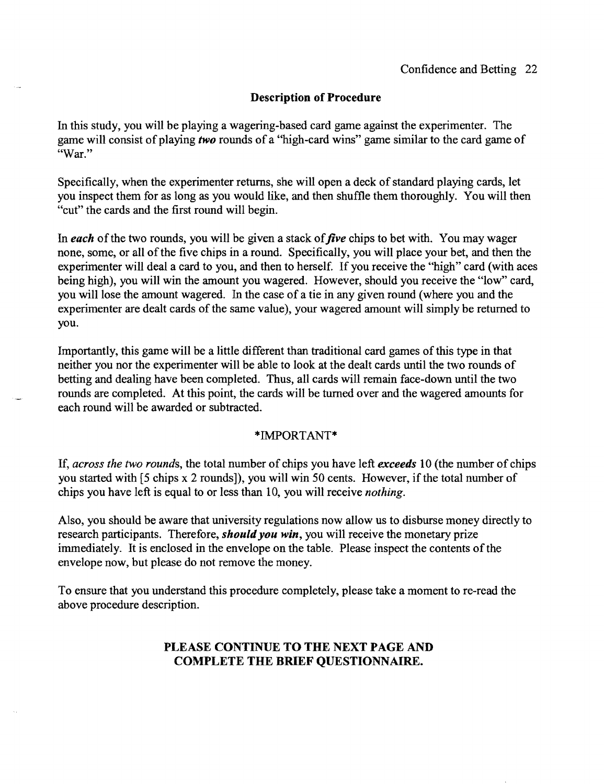In this study, you will be playing a wagering-based card game against the experimenter. The game will consist of playing *two* rounds of a "high-card wins" game similar to the card game of "War."

Specifically, when the experimenter returns, she will open a deck of standard playing cards, let you inspect them for as long as you would like, and then shuffle them thoroughly. You will then "cut" the cards and the first round will begin.

In each of the two rounds, you will be given a stack of *five* chips to bet with. You may wager none, some, or all of the five chips in a round. Specifically, you will place your bet, and then the experimenter will deal a card to you, and then to herself. If you receive the "high" card (with aces being high), you will win the amount you wagered. However, should you receive the "low" card, you will lose the amount wagered. In the case of a tie in any given round (where you and the experimenter are dealt cards of the same value), your wagered amount will simply be returned to you.

Importantly, this game will be a little different than traditional card games of this type in that neither you nor the experimenter will be able to look at the dealt cards until the two rounds of betting and dealing have been completed. Thus, all cards will remain face-down until the two rounds are completed. At this point, the cards will be turned over and the wagered amounts for each round will be awarded or subtracted.

### \*IMPORTANT\*

If, *across the two rounds,* the total number of chips you have left *exceeds* 10 (the number of chips you started with (5 chips x 2 rounds]), you will win 50 cents. However, if the total number of chips you have left is equal to or less than 10, you will receive *nothing.* 

Also, you should be aware that university regulations now allow us to disburse money directly to research participants. Therefore, *should you win,* you will receive the monetary prize immediately. It is enclosed in the envelope on the table. Please inspect the contents of the envelope now, but please do not remove the money.

To ensure that you understand this procedure completely, please take a moment to re-read the above procedure description.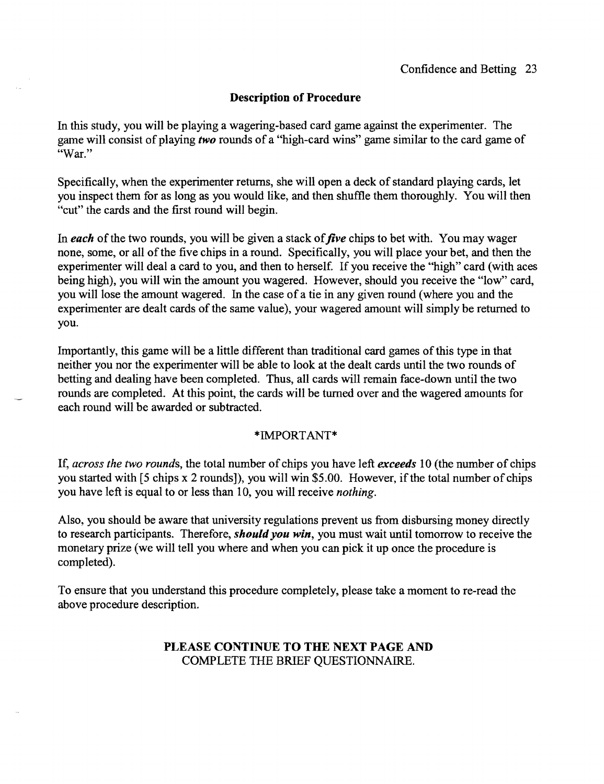In this study, you will be playing a wagering-based card game against the experimenter. The game will consist of playing *two* rounds of a "high-card wins" game similar to the card game of "War."

Specifically, when the experimenter returns, she will open a deck of standard playing cards, let you inspect them for as long as you would like, and then shuffle them thoroughly. You will then "cut" the cards and the first round will begin.

In *each* of the two rounds, you will be given a stack of *jive* chips to bet with. You may wager none, some, or all of the five chips in a round. Specifically, you will place your bet, and then the experimenter will deal a card to you, and then to herself. If you receive the "high" card (with aces being high), you will win the amount you wagered. However, should you receive the "low" card, you will lose the amount wagered. In the case of a tie in any given round (where you and the experimenter are dealt cards of the same value), your wagered amount will simply be returned to you.

Importantly, this game will be a little different than traditional card games of this type in that neither you nor the experimenter will be able to look at the dealt cards until the two rounds of betting and dealing have been completed. Thus, all cards will remain face-down until the two rounds are completed. At this point, the cards will be turned over and the wagered amounts for each round will be awarded or subtracted.

### \* IMPORT ANT\*

If, *across the two rounds,* the total number of chips you have left *exceeds* 10 (the number of chips you started with [5 chips x 2 rounds]), you will win \$5.00. However, if the total number of chips you have left is equal to or less than 10, you will receive *nothing.* 

Also, you should be aware that university regulations prevent us from disbursing money directly to research participants. Therefore, *should you win,* you must wait until tomorrow to receive the monetary prize (we will tell you where and when you can pick it up once the procedure is completed).

To ensure that you understand this procedure completely, please take a moment to re-read the above procedure description.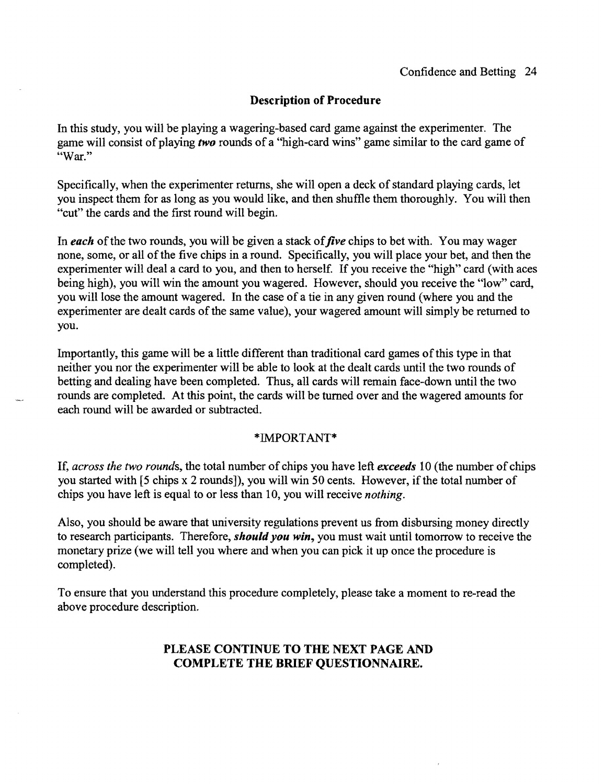In this study, you will be playing a wagering-based card game against the experimenter. The game will consist of playing *two* rounds of a "high-card wins" game similar to the card game of "War."

Specifically, when the experimenter returns, she will open a deck of standard playing cards, let you inspect them for as long as you would like, and then shuffle them thoroughly. You will then "cut" the cards and the first round will begin.

In *each* of the two rounds, you will be given a stack of *jive* chips to bet with. You may wager none, some, or all of the five chips in a round. Specifically, you will place your bet, and then the experimenter will deal a card to you, and then to herself. If you receive the "high" card (with aces being high), you will win the amount you wagered. However, should you receive the "low" card, you will lose the amount wagered. In the case of a tie in any given round (where you and the experimenter are dealt cards of the same value), your wagered amount will simply be returned to you.

Importantly, this game will be a little different than traditional card games ofthis type in that neither you nor the experimenter will be able to look at the dealt cards until the two rounds of betting and dealing have been completed. Thus, all cards will remain face-down until the two rounds are completed. At this point, the cards will be turned over and the wagered amounts for each round will be awarded or subtracted.

### \*IMPORT ANT \*

If, *across the two rounds,* the total number of chips you have left *exceeds* 10 (the number of chips you started with [5 chips x 2 rounds]), you will win 50 cents. However, if the total number of chips you have left is equal to or less than 10, you will receive *nothing.* 

Also, you should be aware that university regulations prevent us from disbursing money directly to research participants. Therefore, *should you win,* you must wait until tomorrow to receive the monetary prize (we will tell you where and when you can pick it up once the procedure is completed).

To ensure that you understand this procedure completely, please take a moment to re-read the above procedure description.